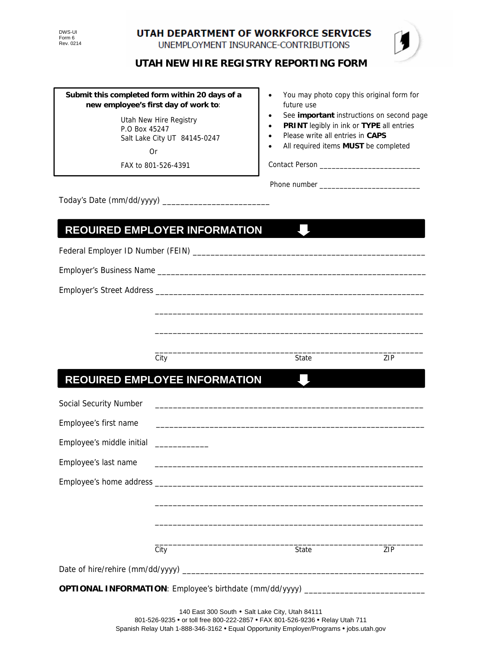UTAH DEPARTMENT OF WORKFORCE SERVICES UNEMPLOYMENT INSURANCE-CONTRIBUTIONS



**UTAH NEW HIRE REGISTRY REPORTING FORM** 

#### **Submit this completed form within 20 days of a new employee's first day of work to**:

 Utah New Hire Registry P.O Box 45247 Salt Lake City UT 84145-0247 Or

FAX to 801-526-4391

- You may photo copy this original form for future use
- See **important** instructions on second page
- **PRINT** legibly in ink or **TYPE** all entries
- Please write all entries in **CAPS**
- All required items **MUST** be completed

Contact Person \_\_\_\_\_\_\_\_\_\_\_\_\_\_\_\_\_\_\_\_\_\_\_\_\_

Phone number \_\_\_\_\_\_\_\_\_\_\_\_\_\_\_\_\_\_\_\_\_\_\_\_\_

J I,

Today's Date (mm/dd/yyyy) \_\_

## **REQUIRED EMPLOYER INFORMATION**

Federal Employer ID Number (FEIN) \_\_\_\_\_\_\_\_\_\_\_\_\_\_\_\_\_\_\_\_\_\_\_\_\_\_\_\_\_\_\_\_\_\_\_\_\_\_\_\_\_\_\_\_\_\_\_\_\_\_\_\_

Employer's Business Name \_\_\_\_\_\_\_\_\_\_\_\_\_\_\_\_\_\_\_\_\_\_\_\_\_\_\_\_\_\_\_\_\_\_\_\_\_\_\_\_\_\_\_\_\_\_\_\_\_\_\_\_\_\_\_\_\_\_\_\_

Employer's Street Address \_\_\_\_\_\_\_\_\_\_\_\_\_\_\_\_\_\_\_\_\_\_\_\_\_\_\_\_\_\_\_\_\_\_\_\_\_\_\_\_\_\_\_\_\_\_\_\_\_\_\_\_\_\_\_\_\_\_\_\_

 $\frac{1}{2}$  ,  $\frac{1}{2}$  ,  $\frac{1}{2}$  ,  $\frac{1}{2}$  ,  $\frac{1}{2}$  ,  $\frac{1}{2}$  ,  $\frac{1}{2}$  ,  $\frac{1}{2}$  ,  $\frac{1}{2}$  ,  $\frac{1}{2}$  ,  $\frac{1}{2}$  ,  $\frac{1}{2}$  ,  $\frac{1}{2}$  ,  $\frac{1}{2}$  ,  $\frac{1}{2}$  ,  $\frac{1}{2}$  ,  $\frac{1}{2}$  ,  $\frac{1}{2}$  ,  $\frac{1$ City **State** City **State** 21P

 $\mathcal{L}_{\mathcal{A}}$ 

# **REQUIRED EMPLOYEE INFORMATION**

| Social Security Number                                                           |      |       |     |
|----------------------------------------------------------------------------------|------|-------|-----|
| Employee's first name                                                            |      |       |     |
| Employee's middle initial _____________                                          |      |       |     |
|                                                                                  |      |       |     |
|                                                                                  |      |       |     |
|                                                                                  |      |       |     |
|                                                                                  |      |       |     |
|                                                                                  |      |       |     |
|                                                                                  | City | State | ZIP |
|                                                                                  |      |       |     |
| OPTIONAL INFORMATION: Employee's birthdate (mm/dd/yyyy) ________________________ |      |       |     |

\_\_\_\_\_\_\_\_\_\_\_\_\_\_\_\_\_\_\_\_\_\_\_\_\_\_\_\_\_\_\_\_\_\_\_\_\_\_\_\_\_\_\_\_\_\_\_\_\_\_\_\_\_\_\_\_\_\_\_\_

\_\_\_\_\_\_\_\_\_\_\_\_\_\_\_\_\_\_\_\_\_\_\_\_\_\_\_\_\_\_\_\_\_\_\_\_\_\_\_\_\_\_\_\_\_\_\_\_\_\_\_\_\_\_\_\_\_\_\_\_